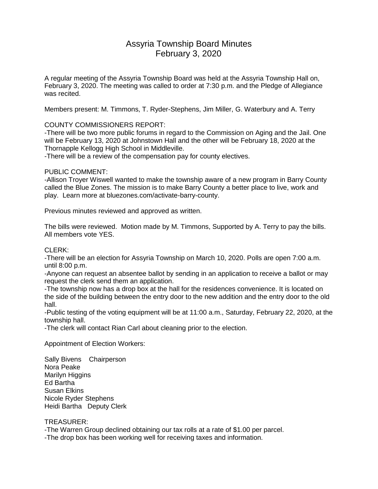# Assyria Township Board Minutes February 3, 2020

A regular meeting of the Assyria Township Board was held at the Assyria Township Hall on, February 3, 2020. The meeting was called to order at 7:30 p.m. and the Pledge of Allegiance was recited.

Members present: M. Timmons, T. Ryder-Stephens, Jim Miller, G. Waterbury and A. Terry

# COUNTY COMMISSIONERS REPORT:

-There will be two more public forums in regard to the Commission on Aging and the Jail. One will be February 13, 2020 at Johnstown Hall and the other will be February 18, 2020 at the Thornapple Kellogg High School in Middleville.

-There will be a review of the compensation pay for county electives.

## PUBLIC COMMENT:

-Allison Troyer Wiswell wanted to make the township aware of a new program in Barry County called the Blue Zones. The mission is to make Barry County a better place to live, work and play. Learn more at bluezones.com/activate-barry-county.

Previous minutes reviewed and approved as written.

The bills were reviewed. Motion made by M. Timmons, Supported by A. Terry to pay the bills. All members vote YES.

### CLERK:

-There will be an election for Assyria Township on March 10, 2020. Polls are open 7:00 a.m. until 8:00 p.m.

-Anyone can request an absentee ballot by sending in an application to receive a ballot or may request the clerk send them an application.

-The township now has a drop box at the hall for the residences convenience. It is located on the side of the building between the entry door to the new addition and the entry door to the old hall.

-Public testing of the voting equipment will be at 11:00 a.m., Saturday, February 22, 2020, at the township hall.

-The clerk will contact Rian Carl about cleaning prior to the election.

Appointment of Election Workers:

Sally Bivens Chairperson Nora Peake Marilyn Higgins Ed Bartha Susan Elkins Nicole Ryder Stephens Heidi Bartha Deputy Clerk

# TREASURER:

-The Warren Group declined obtaining our tax rolls at a rate of \$1.00 per parcel.

-The drop box has been working well for receiving taxes and information.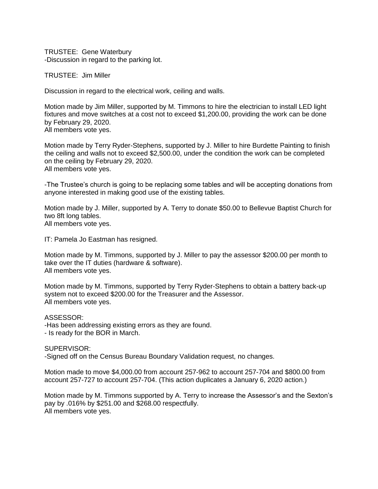TRUSTEE: Gene Waterbury -Discussion in regard to the parking lot.

TRUSTEE: Jim Miller

Discussion in regard to the electrical work, ceiling and walls.

Motion made by Jim Miller, supported by M. Timmons to hire the electrician to install LED light fixtures and move switches at a cost not to exceed \$1,200.00, providing the work can be done by February 29, 2020. All members vote yes.

Motion made by Terry Ryder-Stephens, supported by J. Miller to hire Burdette Painting to finish the ceiling and walls not to exceed \$2,500.00, under the condition the work can be completed on the ceiling by February 29, 2020. All members vote yes.

-The Trustee's church is going to be replacing some tables and will be accepting donations from anyone interested in making good use of the existing tables.

Motion made by J. Miller, supported by A. Terry to donate \$50.00 to Bellevue Baptist Church for two 8ft long tables. All members vote yes.

IT: Pamela Jo Eastman has resigned.

Motion made by M. Timmons, supported by J. Miller to pay the assessor \$200.00 per month to take over the IT duties (hardware & software). All members vote yes.

Motion made by M. Timmons, supported by Terry Ryder-Stephens to obtain a battery back-up system not to exceed \$200.00 for the Treasurer and the Assessor. All members vote yes.

ASSESSOR:

-Has been addressing existing errors as they are found. - Is ready for the BOR in March.

SUPERVISOR:

-Signed off on the Census Bureau Boundary Validation request, no changes.

Motion made to move \$4,000.00 from account 257-962 to account 257-704 and \$800.00 from account 257-727 to account 257-704. (This action duplicates a January 6, 2020 action.)

Motion made by M. Timmons supported by A. Terry to increase the Assessor's and the Sexton's pay by .016% by \$251.00 and \$268.00 respectfully. All members vote yes.